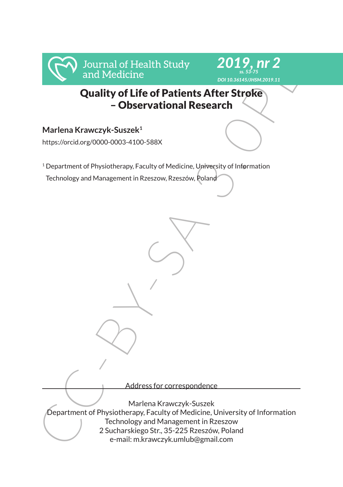

# Quality of Life of Patients After Stroke – Observational Research

# **Marlena Krawczyk-Suszek1**

https://orcid.org/0000-0003-4100-588X

<sup>1</sup> Department of Physiotherapy, Faculty of Medicine, University of Information

Technology and Management in Rzeszow, Rzeszów, Poland

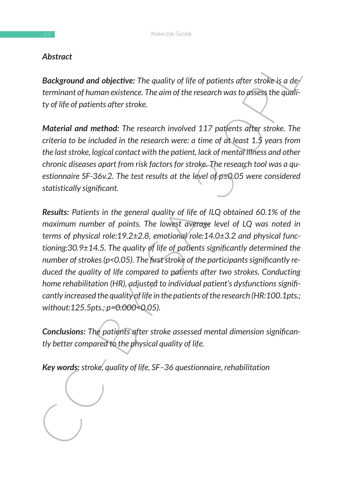# *Abstract*

*Background and objective: The quality of life of patients after stroke is a determinant of human existence. The aim of the research was to assess the quality of life of patients after stroke.* 

*Material and method: The research involved 117 patients after stroke. The criteria to be included in the research were: a time of at least 1.5 years from the last stroke, logical contact with the patient, lack of mental illness and other chronic diseases apart from risk factors for stroke. The research tool was a questionnaire SF-36v.2. The test results at the level of p≤0.05 were considered statistically significant.* 

**Hastrict**<br> **Eackground and objective:** The quality of life of patients after stroke is a de-<br>
terminant of human existence. The aim of the research was to assess the quality<br>
ty of life of patients after stroke.<br> **Materi** *Results: Patients in the general quality of life of ILQ obtained 60.1% of the maximum number of points. The lowest average level of LQ was noted in terms of physical role:19.2±2.8, emotional role:14.0±3.2 and physical functioning:30.9±14.5. The quality of life of patients significantly determined the number of strokes (p<0.05). The first stroke of the participants significantly reduced the quality of life compared to patients after two strokes. Conducting home rehabilitation (HR), adjusted to individual patient's dysfunctions significantly increased the quality of life in the patients of the research (HR:100.1pts.; without:125.5pts.; p=0.000<0.05).* 

*Conclusions: The patients after stroke assessed mental dimension significantly better compared to the physical quality of life.* 

*Key words: stroke, quality of life, SF–36 questionnaire, rehabilitation*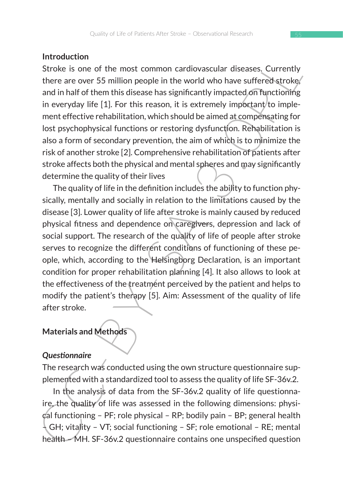### **Introduction**

Stroke is one of the most common cardiovascular diseases. Currently there are over 55 million people in the world who have suffered stroke, and in half of them this disease has significantly impacted on functioning in everyday life  $[1]$ . For this reason, it is extremely important/to implement effective rehabilitation, which should be aimed at compensating for lost psychophysical functions or restoring dysfunction. Rehabilitation is also a form of secondary prevention, the aim of which is to minimize the risk of another stroke [2]. Comprehensive rehabilitation of patients after stroke affects both the physical and mental spheres and may significantly determine the quality of their lives

Interaction<br>and in Morelian and Methods and Methods and Methods on the analytic of the variative of SHC-BY-oke is one of the moths disease has significantly impacted of methodinity and in half of them this dissease has si The quality of life in the definition includes the ability to function physically, mentally and socially in relation to the limitations caused by the disease [3]. Lower quality of life after stroke is mainly caused by reduced physical fitness and dependence on caregivers, depression and lack of social support. The research of the quality of life of people after stroke serves to recognize the different conditions of functioning of these people, which, according to the Helsingborg Declaration, is an important condition for proper rehabilitation planning [4]. It also allows to look at the effectiveness of the treatment perceived by the patient and helps to modify the patient's therapy [5]. Aim: Assessment of the quality of life after stroke.

# **Materials and Methods**

### *Questionnaire*

The research was conducted using the own structure questionnaire supplemented with a standardized tool to assess the quality of life SF-36v.2.

In the analysis of data from the SF-36v.2 quality of life questionnaire, the quality of life was assessed in the following dimensions: physical functioning – PF; role physical – RP; bodily pain – BP; general health  $\downarrow$  GH; vitality – VT; social functioning – SF; role emotional – RE; mental health – MH. SF-36v.2 questionnaire contains one unspecified question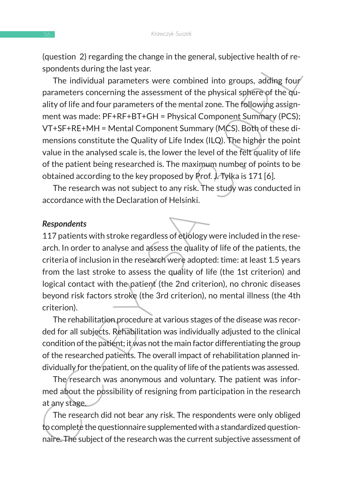(question 2) regarding the change in the general, subjective health of respondents during the last year.

(upestual metallity of life the priority). The production and production and production and a sense that in the physical spheme of the physical spheme and the product ality of life and four parameters of the mental zone. T The individual parameters were combined into groups, adding four parameters concerning the assessment of the physical sphere of the quality of life and four parameters of the mental zone. The following assignment was made: PF+RF+BT+GH = Physical Component Summary (PCS); VT+SF+RE+MH = Mental Component Summary (MCS). Both of these dimensions constitute the Quality of Life Index (ILQ). The higher the point value in the analysed scale is, the lower the level of the felt quality of life of the patient being researched is. The maximum number of points to be obtained according to the key proposed by Prof. J. Tylka is 171 [6].

The research was not subject to any risk. The study was conducted in accordance with the Declaration of Helsinki.

#### *Respondents*

117 patients with stroke regardless of etiology were included in the research. In order to analyse and assess the quality of life of the patients, the criteria of inclusion in the research were adopted: time: at least 1.5 years from the last stroke to assess the quality of life (the 1st criterion) and logical contact with the patient (the 2nd criterion), no chronic diseases beyond risk factors stroke (the 3rd criterion), no mental illness (the 4th criterion).

The rehabilitation procedure at various stages of the disease was recorded for all subjects. Rehabilitation was individually adjusted to the clinical condition of the patient; it was not the main factor differentiating the group of the researched patients. The overall impact of rehabilitation planned individually for the patient, on the quality of life of the patients was assessed.

The research was anonymous and voluntary. The patient was informed about the possibility of resigning from participation in the research at any stage.

The research did not bear any risk. The respondents were only obliged to complete the questionnaire supplemented with a standardized questionnaire. The subject of the research was the current subjective assessment of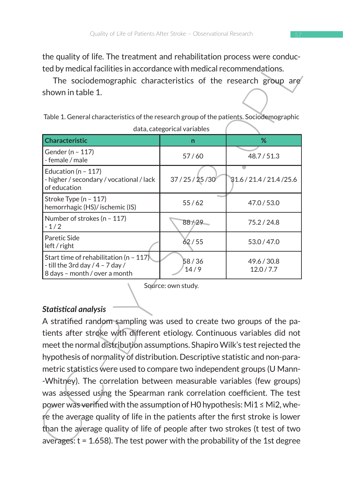the quality of life. The treatment and rehabilitation process were conducted by medical facilities in accordance with medical recommendations.

| the quality of life. The treatment and renabilitation process were conduc-<br>ted by medical facilities in accordance with medical recommendations. |                                                                        |                           |  |  |  |  |  |  |  |
|-----------------------------------------------------------------------------------------------------------------------------------------------------|------------------------------------------------------------------------|---------------------------|--|--|--|--|--|--|--|
| The sociodemographic characteristics of the research group are                                                                                      |                                                                        |                           |  |  |  |  |  |  |  |
| shown in table 1.                                                                                                                                   |                                                                        |                           |  |  |  |  |  |  |  |
| Table 1. General characteristics of the research group of the patients. Sociodemographic                                                            |                                                                        |                           |  |  |  |  |  |  |  |
|                                                                                                                                                     | data, categorical variables                                            |                           |  |  |  |  |  |  |  |
| <b>Characteristic</b>                                                                                                                               | n                                                                      | %                         |  |  |  |  |  |  |  |
| Gender (n - 117)<br>- female / male                                                                                                                 | 57/60                                                                  | 48.7/51.3                 |  |  |  |  |  |  |  |
| Education ( $n - 117$ )<br>- higher / secondary / vocational / lack<br>of education                                                                 | 37 / 25 / 25 / 30                                                      | 31.6 / 21.4 / 21.4 / 25.6 |  |  |  |  |  |  |  |
| Stroke Type (n - 117)<br>hemorrhagic (HS)/ ischemic (IS)                                                                                            | 55/62                                                                  | 47.0 / 53.0               |  |  |  |  |  |  |  |
| Number of strokes (n - 117)<br>$-1/2$                                                                                                               | 88/29                                                                  | 75.2 / 24.8               |  |  |  |  |  |  |  |
| Paretic Side<br>left / right                                                                                                                        | 62/55                                                                  | 53.0 / 47.0               |  |  |  |  |  |  |  |
| Start time of rehabilitation (n - $117$ )<br>- till the 3rd day $/$ 4 - 7 day $/$<br>8 days - month / over a month                                  | 58/36<br>14/9                                                          | 49.6 / 30.8<br>12.0 / 7.7 |  |  |  |  |  |  |  |
| Source: own study.<br><b>Statistical analysis</b>                                                                                                   |                                                                        |                           |  |  |  |  |  |  |  |
| A stratified random sampling was used to create two groups of the pa-                                                                               |                                                                        |                           |  |  |  |  |  |  |  |
| tients after stroke with different etiology. Continuous variables did not                                                                           |                                                                        |                           |  |  |  |  |  |  |  |
| meet the normal distribution assumptions. Shapiro Wilk's test rejected the                                                                          |                                                                        |                           |  |  |  |  |  |  |  |
| hypothesis of normality of distribution. Descriptive statistic and non-para-                                                                        |                                                                        |                           |  |  |  |  |  |  |  |
| metric statistics were used to compare two independent groups (U Mann-                                                                              |                                                                        |                           |  |  |  |  |  |  |  |
| -Whitney). The correlation between measurable variables (few groups)                                                                                |                                                                        |                           |  |  |  |  |  |  |  |
|                                                                                                                                                     | was assessed using the Spearman rank correlation coefficient. The test |                           |  |  |  |  |  |  |  |
| power was verified with the assumption of H0 hypothesis: Mi1 ≤ Mi2, whe-                                                                            |                                                                        |                           |  |  |  |  |  |  |  |
| re the average quality of life in the patients after the first stroke is lower                                                                      |                                                                        |                           |  |  |  |  |  |  |  |
| than the average quality of life of people after two strokes (t test of two                                                                         |                                                                        |                           |  |  |  |  |  |  |  |
| averages: $t = 1.658$ ). The test power with the probability of the 1st degree                                                                      |                                                                        |                           |  |  |  |  |  |  |  |

# *Statistical analysis*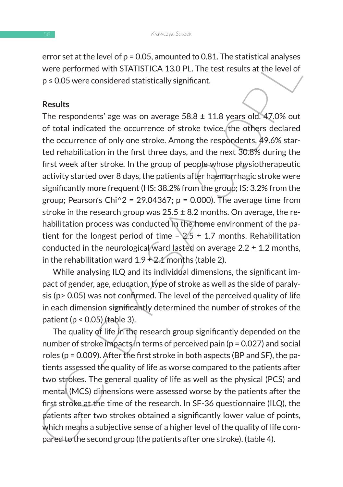error set at the level of  $p = 0.05$ , amounted to 0.81. The statistical analyses were performed with STATISTICA 13.0 PL. The test results at the level of p ≤ 0.05 were considered statistically significant.

### **Results**

ervice at the tevero to p-0.00, and<br>outed to use. The statistical analyses<br>were performed with STATISTICA 13.0 PL. The test results at the level of<br>ps 0.05 were considered statistically significant.<br>
Results<br>
The responde The respondents' age was on average  $58.8 \pm 11.8$  years old. 47.0% out of total indicated the occurrence of stroke twice, the others declared the occurrence of only one stroke. Among the respondents, 49.6% started rehabilitation in the first three days, and the next 30.8% during the first week after stroke. In the group of people whose physiotherapeutic activity started over 8 days, the patients after haemorrhagic stroke were significantly more frequent (HS: 38.2% from the group; IS: 3.2% from the group; Pearson's Chi $\textdegree 2$  = 29.04367; p = 0.000). The average time from stroke in the research group was  $25.5 \pm 8.2$  months. On average, the rehabilitation process was conducted in the home environment of the patient for the longest period of time  $-\sqrt{2.5} \pm 1.7$  months. Rehabilitation conducted in the neurological ward lasted on average  $2.2 \pm 1.2$  months, in the rehabilitation ward  $1.9 \pm 2.1$  months (table 2).

While analysing ILQ and its individual dimensions, the significant impact of gender, age, education, type of stroke as well as the side of paralysis (p> 0.05) was not confirmed. The level of the perceived quality of life in each dimension significantly determined the number of strokes of the patient ( $p < 0.05$ ) (table 3).

The quality of life in the research group significantly depended on the number of stroke impacts in terms of perceived pain (p = 0.027) and social roles (p = 0.009). After the first stroke in both aspects (BP and SF), the patients assessed the quality of life as worse compared to the patients after two strokes. The general quality of life as well as the physical (PCS) and mental (MCS) dimensions were assessed worse by the patients after the first stroke at the time of the research. In SF-36 questionnaire (ILQ), the patients after two strokes obtained a significantly lower value of points, which means a subjective sense of a higher level of the quality of life compared to the second group (the patients after one stroke). (table 4).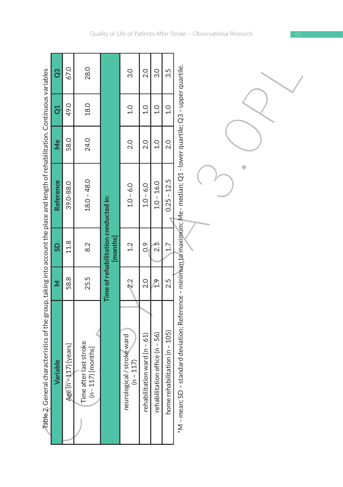|                                                                                                                                               | ဗိ                           | 67.0                  | 28.0                                                          |                                                  | 3.0                                       | 2.0                          | 3.0                            | 3.5                           |                                                                                                                            |
|-----------------------------------------------------------------------------------------------------------------------------------------------|------------------------------|-----------------------|---------------------------------------------------------------|--------------------------------------------------|-------------------------------------------|------------------------------|--------------------------------|-------------------------------|----------------------------------------------------------------------------------------------------------------------------|
|                                                                                                                                               | đ                            | 49.0                  | 18.0                                                          |                                                  | $\frac{0}{1}$                             | $\frac{0}{1}$                | $\frac{0}{1}$                  | $\frac{0}{1}$                 |                                                                                                                            |
|                                                                                                                                               | $\stackrel{\mathtt{e}}{\ge}$ | 58.0                  | 24.0                                                          |                                                  | 2.0                                       | 2.0                          | 1.0                            | 2.0                           |                                                                                                                            |
|                                                                                                                                               | Reference                    | 39.0-88.0             | $18.0 - 48.0$                                                 |                                                  | $1.0 - 6.0$                               | $1.0 - 6.0$                  | $1.0 - 16.0$                   | $0.25 - 12.5$                 |                                                                                                                            |
|                                                                                                                                               | GS                           | 11.8                  | 8.2                                                           | Time of rehabilitation conducted in:<br>[months] | 1.2                                       | $\frac{6}{2}$                | 2.1                            | 1.7                           |                                                                                                                            |
|                                                                                                                                               | Σ                            | 58.8                  | 25.5                                                          |                                                  | 22                                        | 2.0                          | ۹Ì                             | 2.5                           |                                                                                                                            |
| $\overline{7}$ able 2. General characteristics of the group, taking into account the place and length of rehabilitation. Continuous variables | Variable                     | $n=17$ [years]<br>Age | Time after last stroke<br>(n - 117) [months]<br>117) [months] |                                                  | neurological / stroke ward<br>$(n - 117)$ | rehabilitation ward (n - 61) | rehabilitation office (n - 56) | home rehabilitation (n - 105) | *M - mean; SD - standard deviation; Reference - minimum to maximum; Me - median; Q1 - lower quartile; Q3 - upper quartile. |

Ť.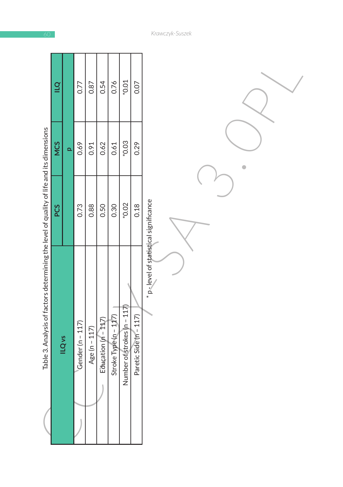|                                                                                          | $\overline{a}$ |                          | 0.77             | 0.87          | 0.54                  | 0.76                  | $*0.01$                     | 0.07                   |                                       |
|------------------------------------------------------------------------------------------|----------------|--------------------------|------------------|---------------|-----------------------|-----------------------|-----------------------------|------------------------|---------------------------------------|
|                                                                                          | <b>NCS</b>     | $\overline{\mathbf{q}}$  | 0.69             | 0.91          | 0.62                  | 0.61                  | *0.03                       | 0.29                   |                                       |
|                                                                                          | PCS            |                          | 0.73             | 0.88          | 0.50                  | 0.30                  | *0.02                       | 0.18                   |                                       |
| Table 3. Analysis of factors determining the level of quality of life and its dimensions |                | <b>ILQ</b> <sub>vs</sub> | Gender (n - 117) | Age (n - 117) | Education $(n - 112)$ | Stroke Type (n - 117) | Number of strokes (n - 117) | Paretic Side (n - 117) | * p-level of statistical significance |

*Krawczyk-Suszek*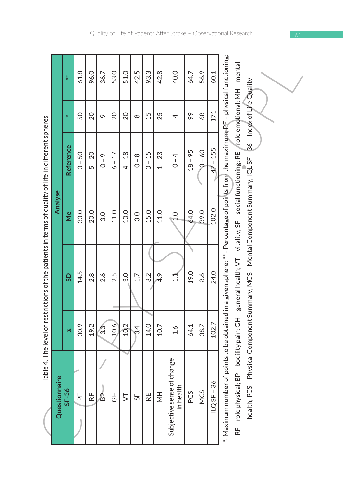|                                                                                                     |               | $*$       | 61.8                 | 96.0                 | 36.7    | 53.0            | 51.0            | 42.5                | 93.3     | 42.8          | 40.0                                    | 64.7      | 56.9      | 60.1         |                                                                                                                                     |                                                                                                                                       |                                                                                                               |
|-----------------------------------------------------------------------------------------------------|---------------|-----------|----------------------|----------------------|---------|-----------------|-----------------|---------------------|----------|---------------|-----------------------------------------|-----------|-----------|--------------|-------------------------------------------------------------------------------------------------------------------------------------|---------------------------------------------------------------------------------------------------------------------------------------|---------------------------------------------------------------------------------------------------------------|
|                                                                                                     |               | ₩         | 50                   | 20                   | $\sim$  | $\overline{20}$ | $\overline{20}$ | $\infty$            | 15       | 25            | 4                                       | 99        | 68        | 171          |                                                                                                                                     |                                                                                                                                       |                                                                                                               |
|                                                                                                     |               | Reference | $0 - 50$             | $5 - 20$             | $0 - 9$ | $6 - 17$        | $4 - 18$        | $0 - 8$             | $0 - 15$ | $1 - 23$      | $0 - 4$                                 | $18 - 95$ | $13 - 60$ | $-155$<br>47 |                                                                                                                                     |                                                                                                                                       |                                                                                                               |
|                                                                                                     | Analyse       | ⊌ٌ        | 30.0                 | 20.0                 | 3.0     | 11.0            | 10.0            | 3.0                 | 15.0     | 11.0          | $\frac{0}{1}$                           | 64.0      | 39.0      | 102.0        |                                                                                                                                     |                                                                                                                                       |                                                                                                               |
| Table 4. The level of restrictions of the patients in terms of quality of life in different spheres |               | GS        | 14.5                 | 2.8                  | 2.6     | 2.5             | 3.0             | 1.7                 | 3.2      | $\bar{4}$ .9  | $\Xi$                                   | 19.0      | 8.6       | 24.0         |                                                                                                                                     |                                                                                                                                       |                                                                                                               |
|                                                                                                     |               | IЖ        | 30.9                 | 19.2                 | 3.3     | 10.6            | 102             | $\ddot{\mathrm{e}}$ | 14.0     | 10.7          | 1.6                                     | 64.1      | 38.7      | 102.7        |                                                                                                                                     |                                                                                                                                       |                                                                                                               |
|                                                                                                     | Questionnaire | $SF-36$   | $\frac{\mu}{\Delta}$ | $\frac{\mu}{\alpha}$ | 高       | 공               | 5               | 55                  | RE       | $\frac{1}{2}$ | Subjective sense of change<br>in health | PCS       | NCS       | $ILQSF - 36$ | *-Maximum number of points to be obtained in a given sphere; ** - Percentage of points from the maximum; PF - physical functioning; | RF - role physical; BP - bodility pain; GH - general health; VT - vitality; SF - social functioning; RE - role emotional; MH - mental | health; PCS - Physical Component Summary; MCS - Mental Component Summary; IQL SF - 86 - Index of Life Quality |

4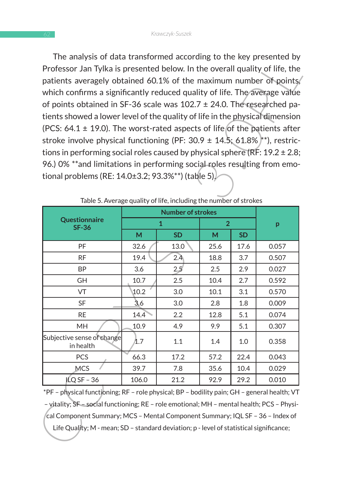| The analysis of data transformed according to the key presented by I<br>Professor Jan Tylka is presented below. In the overall quality of life, the<br>patients averagely obtained 60.1% of the maximum number of points,<br>which confirms a significantly reduced quality of life. The average value<br>of points obtained in SF-36 scale was $102.7 \pm 24.0$ . The researched pa-<br>tients showed a lower level of the quality of life in the physical dimension<br>(PCS: $64.1 \pm 19.0$ ). The worst-rated aspects of life of the patients after |       |                                                                   |      |      |       |  |
|---------------------------------------------------------------------------------------------------------------------------------------------------------------------------------------------------------------------------------------------------------------------------------------------------------------------------------------------------------------------------------------------------------------------------------------------------------------------------------------------------------------------------------------------------------|-------|-------------------------------------------------------------------|------|------|-------|--|
| stroke involve physical functioning (PF: $30.9 \pm 14.5$ ; 61.8% $\sharp^*$ ), restric-                                                                                                                                                                                                                                                                                                                                                                                                                                                                 |       |                                                                   |      |      |       |  |
| tions in performing social roles caused by physical sphere (RF: $19.2 \pm 2.8$ ;                                                                                                                                                                                                                                                                                                                                                                                                                                                                        |       |                                                                   |      |      |       |  |
| 96.) 0% **and limitations in performing social roles resulting from emo-<br>tional problems (RE: 14.0±3.2; 93.3%**) (table 5).                                                                                                                                                                                                                                                                                                                                                                                                                          |       | Table 5. Average quality of life, including the number of strokes |      |      |       |  |
|                                                                                                                                                                                                                                                                                                                                                                                                                                                                                                                                                         |       | <b>Number of strokes</b>                                          |      |      |       |  |
| Questionnaire<br><b>SF-36</b>                                                                                                                                                                                                                                                                                                                                                                                                                                                                                                                           |       | 1                                                                 | 2    |      | p     |  |
|                                                                                                                                                                                                                                                                                                                                                                                                                                                                                                                                                         | М     | <b>SD</b>                                                         | М    | SD   |       |  |
| PF                                                                                                                                                                                                                                                                                                                                                                                                                                                                                                                                                      | 32.6  | 13.0                                                              | 25.6 | 17.6 | 0.057 |  |
| RF                                                                                                                                                                                                                                                                                                                                                                                                                                                                                                                                                      | 19.4  | 2.4                                                               | 18.8 | 3.7  | 0.507 |  |
| ΒP                                                                                                                                                                                                                                                                                                                                                                                                                                                                                                                                                      | 3.6   | 2.5                                                               | 2.5  | 2.9  | 0.027 |  |
| GН                                                                                                                                                                                                                                                                                                                                                                                                                                                                                                                                                      | 10.7  | 2.5                                                               | 10.4 | 2.7  | 0.592 |  |
| VT                                                                                                                                                                                                                                                                                                                                                                                                                                                                                                                                                      | 10.2  | 3.0                                                               | 10.1 | 3.1  | 0.570 |  |
| SF                                                                                                                                                                                                                                                                                                                                                                                                                                                                                                                                                      | 3,6   | 3.0                                                               | 2.8  | 1.8  | 0.009 |  |
| RE                                                                                                                                                                                                                                                                                                                                                                                                                                                                                                                                                      | 14.4  | 2.2                                                               | 12.8 | 5.1  | 0.074 |  |
| MH                                                                                                                                                                                                                                                                                                                                                                                                                                                                                                                                                      | 10.9  | 4.9                                                               | 9.9  | 5.1  | 0.307 |  |
| Subjective sense of change<br>in health                                                                                                                                                                                                                                                                                                                                                                                                                                                                                                                 | 1.7   | 1.1                                                               | 1.4  | 1.0  | 0.358 |  |
| PCS                                                                                                                                                                                                                                                                                                                                                                                                                                                                                                                                                     | 66.3  | 17.2                                                              | 57.2 | 22.4 | 0.043 |  |
| <b>MCS</b>                                                                                                                                                                                                                                                                                                                                                                                                                                                                                                                                              | 39.7  | 7.8                                                               | 35.6 | 10.4 | 0.029 |  |
| $ICQ SF - 36$                                                                                                                                                                                                                                                                                                                                                                                                                                                                                                                                           | 106.0 | 21.2                                                              | 92.9 | 29.2 | 0.010 |  |
| *PF – physical functioning; RF – role physical; BP – bodility pain; GH – general health; VT<br>- vitality; SF - social functioning; RE - role emotional; MH - mental health; PCS - Physi-                                                                                                                                                                                                                                                                                                                                                               |       |                                                                   |      |      |       |  |
| cal Component Summary; MCS - Mental Component Summary; IQL SF - 36 - Index of<br>Life Quality; M - mean; SD - standard deviation; p - level of statistical significance;                                                                                                                                                                                                                                                                                                                                                                                |       |                                                                   |      |      |       |  |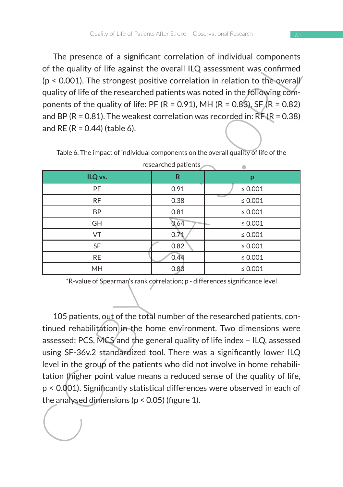The presence of a significant correlation of individual components of the quality of life against the overall ILQ assessment was confirmed  $(p < 0.001)$ . The strongest positive correlation in relation to the overall quality of life of the researched patients was noted in the following components of the quality of life: PF (R = 0.91), MH (R = 0.83), SF (R = 0.82) and BP ( $R = 0.81$ ). The weakest correlation was recorded in:  $R = (R = 0.38)$ and RE ( $R = 0.44$ ) (table 6).

Table 6. The impact of individual components on the overall quality of life of the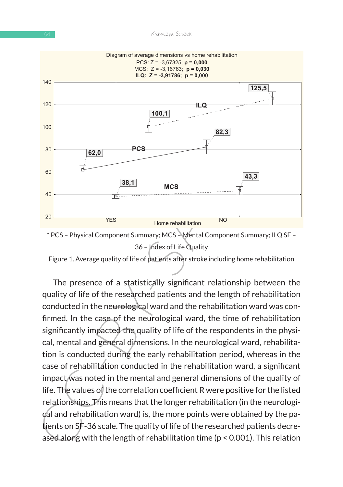



Figure 1. Average quality of life of patients after stroke including home rehabilitation

The presence of a statistically significant relationship between the quality of life of the researched patients and the length of rehabilitation conducted in the neurological ward and the rehabilitation ward was confirmed. In the case of the neurological ward, the time of rehabilitation significantly impacted the quality of life of the respondents in the physical, mental and general dimensions. In the neurological ward, rehabilitation is conducted during the early rehabilitation period, whereas in the case of rehabilitation conducted in the rehabilitation ward, a significant impact was noted in the mental and general dimensions of the quality of life. The values of the correlation coefficient R were positive for the listed relationships. This means that the longer rehabilitation (in the neurological and rehabilitation ward) is, the more points were obtained by the patients on SF-36 scale. The quality of life of the researched patients decreased along with the length of rehabilitation time (p < 0.001). This relation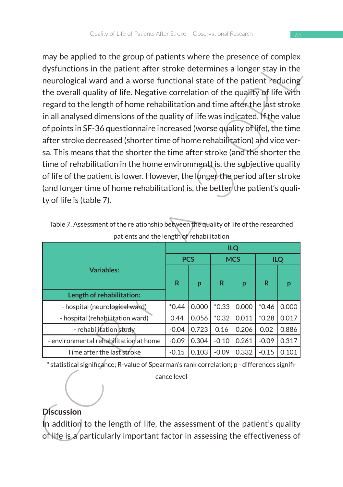In the spin of the group of platelins white the platelins that the presence or complex<br>
dysfunctions in the patient after stroke determines a longer stay in the<br>
neurological ward and a worse functional state of the patie may be applied to the group of patients where the presence of complex dysfunctions in the patient after stroke determines a longer stay in the neurological ward and a worse functional state of the patient reducing the overall quality of life. Negative correlation of the quality of life with regard to the length of home rehabilitation and time after the last stroke in all analysed dimensions of the quality of life was indicated. If the value of points in SF-36 questionnaire increased (worse quality of life), the time after stroke decreased (shorter time of home rehabilitation) and vice versa. This means that the shorter the time after stroke (and the shorter the time of rehabilitation in the home environment) is, the subjective quality of life of the patient is lower. However, the longer the period after stroke (and longer time of home rehabilitation) is, the better the patient's quality of life is (table 7).

|                                        | <b>ILQ</b> |            |            |       |            |       |  |  |  |  |
|----------------------------------------|------------|------------|------------|-------|------------|-------|--|--|--|--|
|                                        |            | <b>PCS</b> | <b>MCS</b> |       | <b>ILQ</b> |       |  |  |  |  |
| <b>Variables:</b>                      | R          | p          | R          | p     | R          | p     |  |  |  |  |
| Length of rehabilitation:              |            |            |            |       |            |       |  |  |  |  |
| - hospital (neurological ward)         | $*0.44$    | 0.000      | $*0.33$    | 0.000 | $*0.46$    | 0.000 |  |  |  |  |
| - hospital (rehabilitation ward)       | 0.44       | 0.056      | $*0.32$    | 0.011 | $*0.28$    | 0.017 |  |  |  |  |
| - rehabilitation study                 | $-0.04$    | 0.723      | 0.16       | 0.206 | 0.02       | 0.886 |  |  |  |  |
| - environmental rehabilitation at home | $-0.09$    | 0.304      | $-0.10$    | 0.261 | $-0.09$    | 0.317 |  |  |  |  |
| Time after the last stroke             | $-0.15$    | 0.103      | $-0.09$    | 0.332 | $-0.15$    | 0.101 |  |  |  |  |

Table 7. Assessment of the relationship between the quality of life of the researched patients and the length of rehabilitation

\* statistical significance; R-value of Spearman's rank correlation; p - differences signifi-

cance level

# **Discussion**

In addition to the length of life, the assessment of the patient's quality of life is a particularly important factor in assessing the effectiveness of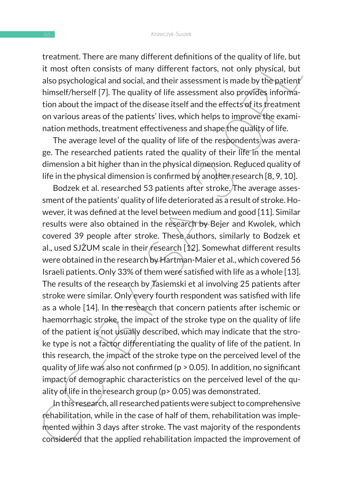treatment. There are many different definitions of the quality of life, but it most often consists of many different factors, not only physical, but also psychological and social, and their assessment is made by the patient himself/herself [7]. The quality of life assessment also provides information about the impact of the disease itself and the effects of its treatment on various areas of the patients' lives, which helps to improve the examination methods, treatment effectiveness and shape the quality of life.

The average level of the quality of life of the respondents was average. The researched patients rated the quality of their life in the mental dimension a bit higher than in the physical dimension. Reduced quality of life in the physical dimension is confirmed by another research [8, 9, 10].

it ensuality inter are many directed naminations or une quanty of this mest often consists of many different factors, not only physical, but<br>also psychological and social, and their assessment is made by the patient<br>himsel Bodzek et al. researched 53 patients after stroke. The average assessment of the patients' quality of life deteriorated as a result of stroke. However, it was defined at the level between medium and good [11]. Similar results were also obtained in the research by Bejer and Kwolek, which covered 39 people after stroke. These authors, similarly to Bodzek et al., used SJŻUM scale in their research [12]. Somewhat different results were obtained in the research by Hartman-Maier et al., which covered 56 Israeli patients. Only 33% of them were satisfied with life as a whole [13]. The results of the research by Tasiemski et al involving 25 patients after stroke were similar. Only every fourth respondent was satisfied with life as a whole [14]. In the research that concern patients after ischemic or haemorrhagic stroke, the impact of the stroke type on the quality of life of the patient is not usually described, which may indicate that the stroke type is not a factor differentiating the quality of life of the patient. In this research, the impact of the stroke type on the perceived level of the quality of life was also not confirmed (p > 0.05). In addition, no significant impact of demographic characteristics on the perceived level of the quality of life in the research group ( $p > 0.05$ ) was demonstrated.

In this research, all researched patients were subject to comprehensive rehabilitation, while in the case of half of them, rehabilitation was implemented within 3 days after stroke. The vast majority of the respondents considered that the applied rehabilitation impacted the improvement of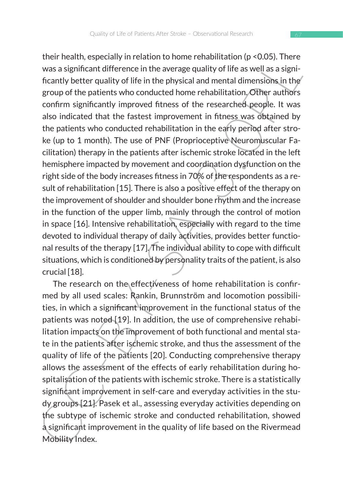their heading wite-tautori on to more relation to those that a wave a significant difference in the average quality of life as well as a significantly better quality of life in the physical and mental dimensions in the gro their health, especially in relation to home rehabilitation (p <0.05). There was a significant difference in the average quality of life as well as a significantly better quality of life in the physical and mental dimensions in the group of the patients who conducted home rehabilitation. Other authors confirm significantly improved fitness of the researched people. It was also indicated that the fastest improvement in fitness was obtained by the patients who conducted rehabilitation in the early period after stroke (up to 1 month). The use of PNF (Proprioceptive Neuromuscular Facilitation) therapy in the patients after ischemic stroke located in the left hemisphere impacted by movement and coordination dysfunction on the right side of the body increases fitness in 70% of the respondents as a result of rehabilitation [15]. There is also a positive effect of the therapy on the improvement of shoulder and shoulder bone rhythm and the increase in the function of the upper limb, mainly through the control of motion in space [16]. Intensive rehabilitation, especially with regard to the time devoted to individual therapy of daily activities, provides better functional results of the therapy [17]. The individual ability to cope with difficult situations, which is conditioned by personality traits of the patient, is also crucial [18].

The research on the effectiveness of home rehabilitation is confirmed by all used scales: Rankin, Brunnström and locomotion possibilities, in which a significant improvement in the functional status of the patients was noted [19]. In addition, the use of comprehensive rehabilitation impacts on the improvement of both functional and mental state in the patients after ischemic stroke, and thus the assessment of the quality of life of the patients [20]. Conducting comprehensive therapy allows the assessment of the effects of early rehabilitation during hospitalisation of the patients with ischemic stroke. There is a statistically significant improvement in self-care and everyday activities in the study groups [21]. Pasek et al., assessing everyday activities depending on the subtype of ischemic stroke and conducted rehabilitation, showed a significant improvement in the quality of life based on the Rivermead Mobility Index.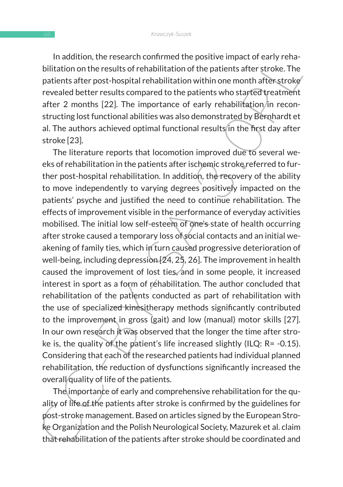In addition, the research confirmed the positive impact of early rehabilitation on the results of rehabilitation of the patients after stroke. The patients after post-hospital rehabilitation within one month after stroke revealed better results compared to the patients who started treatment after 2 months  $[22]$ . The importance of early rehabilitation/in reconstructing lost functional abilities was also demonstrated by Bernhardt et al. The authors achieved optimal functional results in the first day after stroke [23].

influidinon, the research comminied up pusitive in emplate the state of the pair emplation on the results of rehabilitation of the patients after stroke. The patients after post-hospital rehabilitation within one month aft The literature reports that locomotion improved due to several weeks of rehabilitation in the patients after ischemic stroke referred to further post-hospital rehabilitation. In addition, the recovery of the ability to move independently to varying degrees positively impacted on the patients' psyche and justified the need to continue rehabilitation. The effects of improvement visible in the performance of everyday activities mobilised. The initial low self-esteem of one's state of health occurring after stroke caused a temporary loss of social contacts and an initial weakening of family ties, which in turn caused progressive deterioration of well-being, including depression [24, 25, 26]. The improvement in health caused the improvement of lost ties, and in some people, it increased interest in sport as a form of rehabilitation. The author concluded that rehabilitation of the patients conducted as part of rehabilitation with the use of specialized kinesitherapy methods significantly contributed to the improvement in gross (gait) and low (manual) motor skills [27]. In our own research it was observed that the longer the time after stroke is, the quality of the patient's life increased slightly (ILQ: R= -0.15). Considering that each of the researched patients had individual planned rehabilitation, the reduction of dysfunctions significantly increased the overall quality of life of the patients.

The importance of early and comprehensive rehabilitation for the quality of life of the patients after stroke is confirmed by the guidelines for post-stroke management. Based on articles signed by the European Stroke Organization and the Polish Neurological Society, Mazurek et al. claim that rehabilitation of the patients after stroke should be coordinated and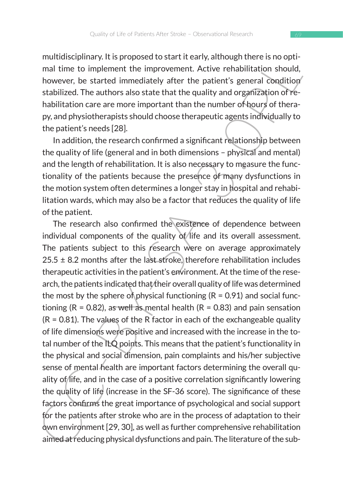multidisciplinary. It is proposed to start it early, although there is no optimal time to implement the improvement. Active rehabilitation should, however, be started immediately after the patient's general condition stabilized. The authors also state that the quality and organization of rehabilitation care are more important than the number of hours of therapy, and physiotherapists should choose therapeutic agents individually to the patient's needs [28].

In addition, the research confirmed a significant relationship between the quality of life (general and in both dimensions – physical and mental) and the length of rehabilitation. It is also necessary to measure the functionality of the patients because the presence of many dysfunctions in the motion system often determines a longer stay in hospital and rehabilitation wards, which may also be a factor that reduces the quality of life of the patient.

multus<br>computery. Its proposed to start theaty, altiongly there is no optimization<br>mall time to implement the improvement. Active rehabilitation should,<br>however, be started immediately after the patient's general conditio The research also confirmed the existence of dependence between individual components of the quality of life and its overall assessment. The patients subject to this research were on average approximately  $25.5 \pm 8.2$  months after the last stroke, therefore rehabilitation includes therapeutic activities in the patient's environment. At the time of the research, the patients indicated that their overall quality of life was determined the most by the sphere of physical functioning ( $R = 0.91$ ) and social functioning ( $R = 0.82$ ), as well as mental health ( $R = 0.83$ ) and pain sensation  $(R = 0.81)$ . The values of the R factor in each of the exchangeable quality of life dimensions were positive and increased with the increase in the total number of the ILQ points. This means that the patient's functionality in the physical and social dimension, pain complaints and his/her subjective sense of mental health are important factors determining the overall quality of life, and in the case of a positive correlation significantly lowering the quality of life (increase in the SF-36 score). The significance of these factors confirms the great importance of psychological and social support for the patients after stroke who are in the process of adaptation to their own environment [29, 30], as well as further comprehensive rehabilitation aimed at reducing physical dysfunctions and pain. The literature of the sub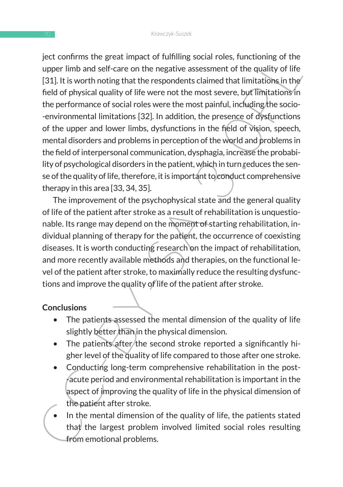even time is used and public on tumining solutions, untuctioning or the quality of life<br>upper limb and self-care on the negative assessment of the quality of life<br>(31). It is worth noting that the respondents claimed that ject confirms the great impact of fulfilling social roles, functioning of the upper limb and self-care on the negative assessment of the quality of life [31]. It is worth noting that the respondents claimed that limitations in the field of physical quality of life were not the most severe, but limitations in the performance of social roles were the most painful, including the socio- -environmental limitations [32]. In addition, the presence of dysfunctions of the upper and lower limbs, dysfunctions in the field of vision, speech, mental disorders and problems in perception of the world and problems in the field of interpersonal communication, dysphagia, increase the probability of psychological disorders in the patient, which in turn reduces the sense of the quality of life, therefore, it is important to conduct comprehensive therapy in this area [33, 34, 35].

The improvement of the psychophysical state and the general quality of life of the patient after stroke as a result of rehabilitation is unquestionable. Its range may depend on the moment of starting rehabilitation, individual planning of therapy for the patient, the occurrence of coexisting diseases. It is worth conducting research on the impact of rehabilitation, and more recently available methods and therapies, on the functional level of the patient after stroke, to maximally reduce the resulting dysfunctions and improve the quality of life of the patient after stroke.

# **Conclusions**

- The patients assessed the mental dimension of the quality of life slightly better than in the physical dimension.
- The patients after the second stroke reported a significantly higher level of the quality of life compared to those after one stroke.
- Conducting long-term comprehensive rehabilitation in the post- -acute period and environmental rehabilitation is important in the aspect of improving the quality of life in the physical dimension of the patient after stroke.
- In the mental dimension of the quality of life, the patients stated that the largest problem involved limited social roles resulting from emotional problems.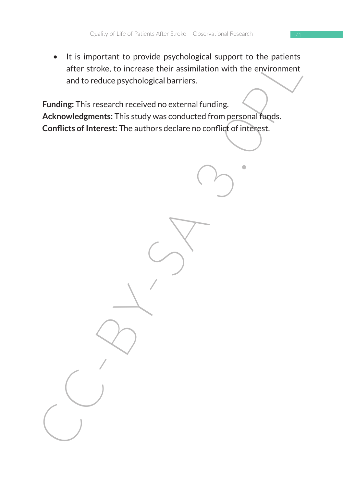• It is important to provide psychological support to the patients after stroke, to increase their assimilation with the environment and to reduce psychological barriers.

The important to provide psychological support to the pairement<br>after stroke, to increase their assimilation with the environment<br>and to reduce psychological barriers.<br>Funding: This research received no external funding.<br>A **Funding:** This research received no external funding. **Acknowledgments:** This study was conducted from personal funds. **Conflicts of Interest:** The authors declare no conflict of interest.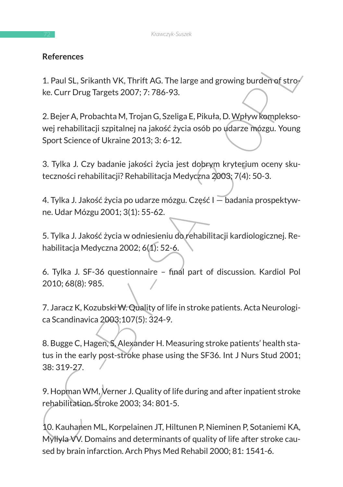# **References**

1. Paul SL, Srikanth VK, Thrift AG. The large and growing burden of stroke. Curr Drug Targets 2007; 7: 786-93.

2. Bejer A, Probachta M, Trojan G, Szeliga E, Pikuła, D. Wpływ kompleksowej rehabilitacji szpitalnej na jakość życia osób po udarze mózgu. Young Sport Science of Ukraine 2013; 3: 6-12.

3. Tylka J. Czy badanie jakości życia jest dobrym kryterium oceny skuteczności rehabilitacji? Rehabilitacja Medyczna 2003; 7(4): 50-3.

4. Tylka J. Jakość życia po udarze mózgu. Część I — badania prospektywne. Udar Mózgu 2001; 3(1): 55-62.

5. Tylka J. Jakość życia w odniesieniu do rehabilitacji kardiologicznej. Rehabilitacja Medyczna 2002; 6(1): 52-6.

6. Tylka J. SF-36 questionnaire – final part of discussion. Kardiol Pol 2010; 68(8): 985.

7. Jaracz K, Kozubski W. Quality of life in stroke patients. Acta Neurologica Scandinavica 2003;107(5): 324-9.

References<br>
1. Paul SL, Srikanth VK, Thrift AG. The large and growing burden of strowing<br>
ke. Curr Drug Targets 2007; 7: 786-93.<br>
2. Bejer A, Probachta M, Trojan G, Szeliga E, Pikuła, D. Wpływ komplekso-<br>
wej rehabilitacji 8. Bugge C, Hagen, S, Alexander H. Measuring stroke patients' health status in the early post-stroke phase using the SF36. Int J Nurs Stud 2001; 38: 319-27.

9. Hopman WM, Verner J. Quality of life during and after inpatient stroke rehabilitation. Stroke 2003; 34: 801-5.

10. Kauhanen ML, Korpelainen JT, Hiltunen P, Nieminen P, Sotaniemi KA, Myllyla VV. Domains and determinants of quality of life after stroke caused by brain infarction. Arch Phys Med Rehabil 2000; 81: 1541-6.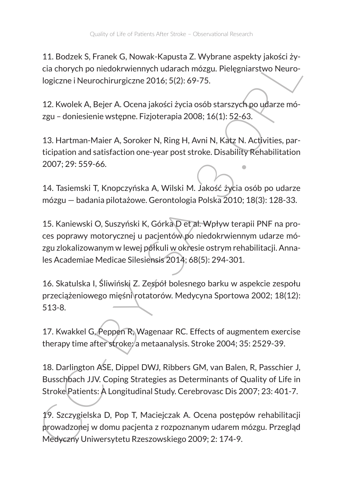11. Bodzek S, Franek G, Nowak-Kapusta Z. Wybrane aspekty jakości życia chorych po niedokrwiennych udarach mózgu. Pielęgniarstwo Neurologiczne i Neurochirurgiczne 2016; 5(2): 69-75.

12. Kwolek A, Bejer A. Ocena jakości życia osób starszych po udarze mózgu – doniesienie wstępne. Fizjoterapia 2008; 16(1): 52-63.

13. Hartman-Maier A, Soroker N, Ring H, Avni N, Katz N. Activities, participation and satisfaction one-year post stroke. Disability Rehabilitation 2007; 29: 559-66.

14. Tasiemski T, Knopczyńska A, Wilski M. Jakość życia osób po udarze mózgu — badania pilotażowe. Gerontologia Polska 2010; 18(3): 128-33.

1. Bouzek S, Francek S, Nowak-Rapusta Z. Wyoulalle aspecty particles<br>
cia chorych po niedokrwiennych udarach mózgu. Pielegniarstwo Neuro-<br>
logiczne i Neurochirurgiczne 2016; 5(2): 69-75.<br>
12. Kwolek A, Bejer A. Ocena jakoś 15. Kaniewski O, Suszyński K, Górka D et al. Wpływ terapii PNF na proces poprawy motorycznej u pacjentów po niedokrwiennym udarze mózgu zlokalizowanym w lewej półkuli w okresie ostrym rehabilitacji. Annales Academiae Medicae Silesiensis 2014; 68(5): 294-301.

16. Skatulska I, Śliwiński Z. Zespół bolesnego barku w aspekcie zespołu przeciążeniowego mięśni rotatorów. Medycyna Sportowa 2002; 18(12): 513-8.

17. Kwakkel G, Peppen R, Wagenaar RC. Effects of augmentem exercise therapy time after stroke: a metaanalysis. Stroke 2004; 35: 2529-39.

18. Darlington ASE, Dippel DWJ, Ribbers GM, van Balen, R, Passchier J, Busschbach JJV. Coping Strategies as Determinants of Quality of Life in Stroke Patients: A Longitudinal Study. Cerebrovasc Dis 2007; 23: 401-7.

19. Szczygielska D, Pop T, Maciejczak A. Ocena postępów rehabilitacji prowadzonej w domu pacjenta z rozpoznanym udarem mózgu. Przegląd Medyczny Uniwersytetu Rzeszowskiego 2009; 2: 174-9.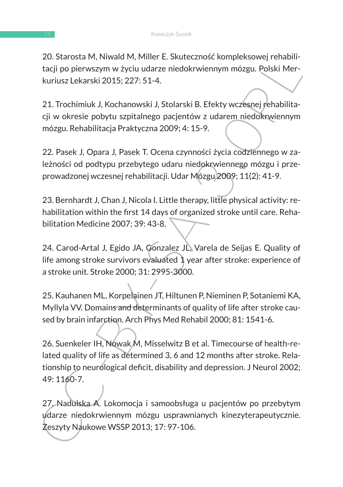20. Starosta M, Niwald M, Miller E. Skuteczność kompleksowej rehabilitacji po pierwszym w życiu udarze niedokrwiennym mózgu. Polski Merkuriusz Lekarski 2015; 227: 51-4.

21. Trochimiuk J, Kochanowski J, Stolarski B. Efekty wczesnej rehabilitacji w okresie pobytu szpitalnego pacjentów z udarem niedokrwiennym mózgu. Rehabilitacja Praktyczna 2009; 4: 15-9.

22. Pasek J, Opara J, Pasek T. Ocena czynności życia codziennego w zależności od podtypu przebytego udaru niedokrwiennego mózgu i przeprowadzonej wczesnej rehabilitacji. Udar Mózgu 2009; 11(2): 41-9.

23. Bernhardt J, Chan J, Nicola I. Little therapy, little physical activity: rehabilitation within the first 14 days of organized stroke until care. Rehabilitation Medicine 2007; 39: 43-8.

24. Carod-Artal J, Egido JA, Gonzalez JL, Varela de Seijas E. Quality of life among stroke survivors evaluated 1 year after stroke: experience of a stroke unit. Stroke 2000; 31: 2995-3000.

25. Kauhanen ML, Korpelainen JT, Hiltunen P, Nieminen P, Sotaniemi KA, Myllyla VV. Domains and determinants of quality of life after stroke caused by brain infarction. Arch Phys Med Rehabil 2000; 81: 1541-6.

20. Starbala Mi, Iwwalu Mi, mimer E. Stattecznios: kompessowej relation<br>
tacji po pierwszym w życiu udarze niedokrwiennym mózgu. Polski Merkuriusz Lekarski 2015; 227: 51-4.<br>
21. Trochimiuk J, Kochanowski J, Stolarski B. Ef 26. Suenkeler IH, Nowak M, Misselwitz B et al. Timecourse of health-related quality of life as determined 3, 6 and 12 months after stroke. Relationship to neurological deficit, disability and depression. J Neurol 2002; 49: 1160-7.

27. Nadulska A. Lokomocja i samoobsługa u pacjentów po przebytym udarze niedokrwiennym mózgu usprawnianych kinezyterapeutycznie. Zeszyty Naukowe WSSP 2013; 17: 97-106.